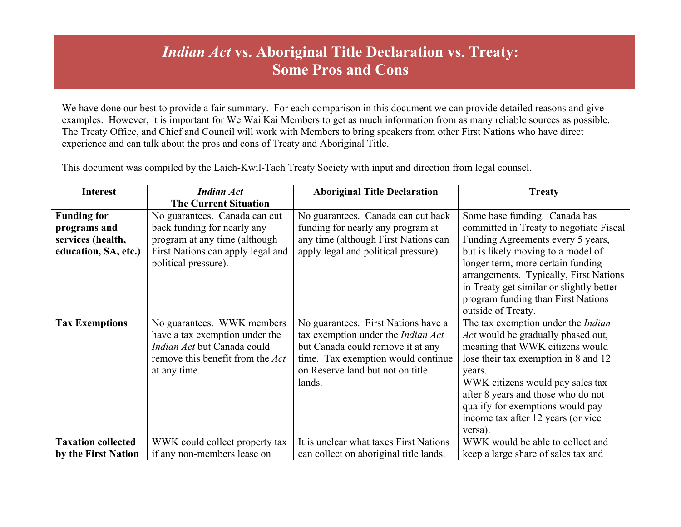## *Indian Act* **vs. Aboriginal Title Declaration vs. Treaty: Some Pros and Cons**

We have done our best to provide a fair summary. For each comparison in this document we can provide detailed reasons and give examples. However, it is important for We Wai Kai Members to get as much information from as many reliable sources as possible. The Treaty Office, and Chief and Council will work with Members to bring speakers from other First Nations who have direct experience and can talk about the pros and cons of Treaty and Aboriginal Title.

**Interest** *Indian Act* **The Current Situation Aboriginal Title Declaration Treaty Funding for programs and services (health, education, SA, etc.)** No guarantees. Canada can cut back funding for nearly any program at any time (although First Nations can apply legal and political pressure). No guarantees. Canada can cut back funding for nearly any program at any time (although First Nations can apply legal and political pressure). Some base funding. Canada has committed in Treaty to negotiate Fiscal Funding Agreements every 5 years, but is likely moving to a model of longer term, more certain funding arrangements. Typically, First Nations in Treaty get similar or slightly better program funding than First Nations outside of Treaty. **Tax Exemptions** No guarantees. WWK members have a tax exemption under the *Indian Act* but Canada could remove this benefit from the *Act* at any time. No guarantees. First Nations have a tax exemption under the *Indian Act* but Canada could remove it at any time. Tax exemption would continue on Reserve land but not on title lands. The tax exemption under the *Indian Act* would be gradually phased out, meaning that WWK citizens would lose their tax exemption in 8 and 12 years. WWK citizens would pay sales tax after 8 years and those who do not qualify for exemptions would pay income tax after 12 years (or vice versa). **Taxation collected by the First Nation** WWK could collect property tax if any non-members lease on It is unclear what taxes First Nations can collect on aboriginal title lands. WWK would be able to collect and keep a large share of sales tax and

This document was compiled by the Laich-Kwil-Tach Treaty Society with input and direction from legal counsel.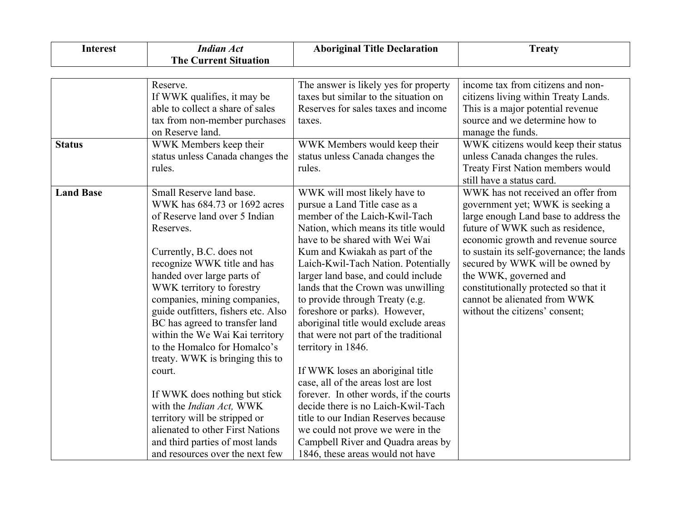| <b>Interest</b>  | <b>Indian Act</b>                                                                                                                                                                                                                                                                                                                                                                                                                                                                                                                                                                                                                                             | <b>Aboriginal Title Declaration</b>                                                                                                                                                                                                                                                                                                                                                                                                                                                                                                                                                                                                                                                                                                                                                                                         | <b>Treaty</b>                                                                                                                                                                                                                                                                                                                                                                                                 |
|------------------|---------------------------------------------------------------------------------------------------------------------------------------------------------------------------------------------------------------------------------------------------------------------------------------------------------------------------------------------------------------------------------------------------------------------------------------------------------------------------------------------------------------------------------------------------------------------------------------------------------------------------------------------------------------|-----------------------------------------------------------------------------------------------------------------------------------------------------------------------------------------------------------------------------------------------------------------------------------------------------------------------------------------------------------------------------------------------------------------------------------------------------------------------------------------------------------------------------------------------------------------------------------------------------------------------------------------------------------------------------------------------------------------------------------------------------------------------------------------------------------------------------|---------------------------------------------------------------------------------------------------------------------------------------------------------------------------------------------------------------------------------------------------------------------------------------------------------------------------------------------------------------------------------------------------------------|
|                  | <b>The Current Situation</b>                                                                                                                                                                                                                                                                                                                                                                                                                                                                                                                                                                                                                                  |                                                                                                                                                                                                                                                                                                                                                                                                                                                                                                                                                                                                                                                                                                                                                                                                                             |                                                                                                                                                                                                                                                                                                                                                                                                               |
|                  |                                                                                                                                                                                                                                                                                                                                                                                                                                                                                                                                                                                                                                                               |                                                                                                                                                                                                                                                                                                                                                                                                                                                                                                                                                                                                                                                                                                                                                                                                                             |                                                                                                                                                                                                                                                                                                                                                                                                               |
|                  | Reserve.<br>If WWK qualifies, it may be<br>able to collect a share of sales<br>tax from non-member purchases<br>on Reserve land.                                                                                                                                                                                                                                                                                                                                                                                                                                                                                                                              | The answer is likely yes for property<br>taxes but similar to the situation on<br>Reserves for sales taxes and income<br>taxes.                                                                                                                                                                                                                                                                                                                                                                                                                                                                                                                                                                                                                                                                                             | income tax from citizens and non-<br>citizens living within Treaty Lands.<br>This is a major potential revenue<br>source and we determine how to<br>manage the funds.                                                                                                                                                                                                                                         |
| <b>Status</b>    | WWK Members keep their<br>status unless Canada changes the<br>rules.                                                                                                                                                                                                                                                                                                                                                                                                                                                                                                                                                                                          | WWK Members would keep their<br>status unless Canada changes the<br>rules.                                                                                                                                                                                                                                                                                                                                                                                                                                                                                                                                                                                                                                                                                                                                                  | WWK citizens would keep their status<br>unless Canada changes the rules.<br>Treaty First Nation members would<br>still have a status card.                                                                                                                                                                                                                                                                    |
| <b>Land Base</b> | Small Reserve land base.<br>WWK has 684.73 or 1692 acres<br>of Reserve land over 5 Indian<br>Reserves.<br>Currently, B.C. does not<br>recognize WWK title and has<br>handed over large parts of<br>WWK territory to forestry<br>companies, mining companies,<br>guide outfitters, fishers etc. Also<br>BC has agreed to transfer land<br>within the We Wai Kai territory<br>to the Homalco for Homalco's<br>treaty. WWK is bringing this to<br>court.<br>If WWK does nothing but stick<br>with the Indian Act, WWK<br>territory will be stripped or<br>alienated to other First Nations<br>and third parties of most lands<br>and resources over the next few | WWK will most likely have to<br>pursue a Land Title case as a<br>member of the Laich-Kwil-Tach<br>Nation, which means its title would<br>have to be shared with Wei Wai<br>Kum and Kwiakah as part of the<br>Laich-Kwil-Tach Nation. Potentially<br>larger land base, and could include<br>lands that the Crown was unwilling<br>to provide through Treaty (e.g.<br>foreshore or parks). However,<br>aboriginal title would exclude areas<br>that were not part of the traditional<br>territory in 1846.<br>If WWK loses an aboriginal title<br>case, all of the areas lost are lost<br>forever. In other words, if the courts<br>decide there is no Laich-Kwil-Tach<br>title to our Indian Reserves because<br>we could not prove we were in the<br>Campbell River and Quadra areas by<br>1846, these areas would not have | WWK has not received an offer from<br>government yet; WWK is seeking a<br>large enough Land base to address the<br>future of WWK such as residence,<br>economic growth and revenue source<br>to sustain its self-governance; the lands<br>secured by WWK will be owned by<br>the WWK, governed and<br>constitutionally protected so that it<br>cannot be alienated from WWK<br>without the citizens' consent; |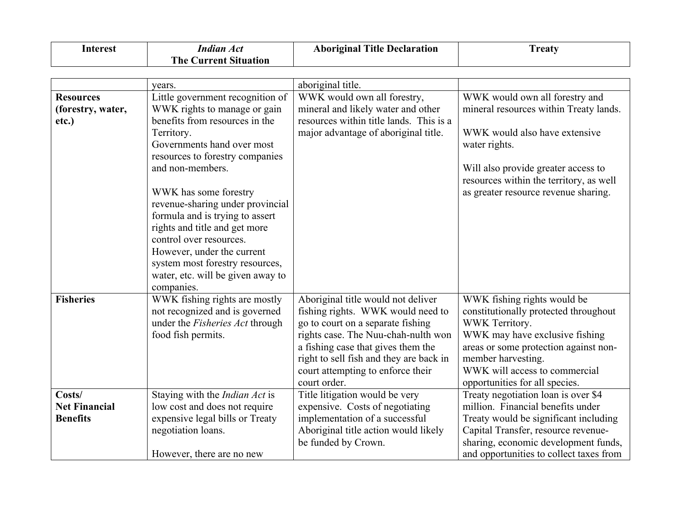| Interest | Indian Act<br><b>The Current Situation</b> | <b>Aboriginal Title Declaration</b> | <b>Treaty</b> |
|----------|--------------------------------------------|-------------------------------------|---------------|
|          |                                            |                                     |               |

|                      | years.                                | aboriginal title.                                                             |                                                             |
|----------------------|---------------------------------------|-------------------------------------------------------------------------------|-------------------------------------------------------------|
| <b>Resources</b>     | Little government recognition of      | WWK would own all forestry,                                                   | WWK would own all forestry and                              |
| (forestry, water,    | WWK rights to manage or gain          | mineral and likely water and other                                            | mineral resources within Treaty lands.                      |
| etc.)                | benefits from resources in the        | resources within title lands. This is a                                       |                                                             |
|                      | Territory.                            | major advantage of aboriginal title.                                          | WWK would also have extensive                               |
|                      | Governments hand over most            |                                                                               | water rights.                                               |
|                      | resources to forestry companies       |                                                                               |                                                             |
|                      | and non-members.                      |                                                                               | Will also provide greater access to                         |
|                      |                                       |                                                                               | resources within the territory, as well                     |
|                      | WWK has some forestry                 |                                                                               | as greater resource revenue sharing.                        |
|                      | revenue-sharing under provincial      |                                                                               |                                                             |
|                      | formula and is trying to assert       |                                                                               |                                                             |
|                      | rights and title and get more         |                                                                               |                                                             |
|                      | control over resources.               |                                                                               |                                                             |
|                      | However, under the current            |                                                                               |                                                             |
|                      | system most forestry resources,       |                                                                               |                                                             |
|                      | water, etc. will be given away to     |                                                                               |                                                             |
| <b>Fisheries</b>     | companies.                            |                                                                               |                                                             |
|                      | WWK fishing rights are mostly         | Aboriginal title would not deliver                                            | WWK fishing rights would be                                 |
|                      | not recognized and is governed        | fishing rights. WWK would need to                                             | constitutionally protected throughout<br>WWK Territory.     |
|                      | under the Fisheries Act through       | go to court on a separate fishing                                             |                                                             |
|                      | food fish permits.                    | rights case. The Nuu-chah-nulth won                                           | WWK may have exclusive fishing                              |
|                      |                                       | a fishing case that gives them the<br>right to sell fish and they are back in | areas or some protection against non-<br>member harvesting. |
|                      |                                       | court attempting to enforce their                                             | WWK will access to commercial                               |
|                      |                                       | court order.                                                                  | opportunities for all species.                              |
| Costs/               | Staying with the <i>Indian Act</i> is | Title litigation would be very                                                | Treaty negotiation loan is over \$4                         |
| <b>Net Financial</b> | low cost and does not require         | expensive. Costs of negotiating                                               | million. Financial benefits under                           |
| <b>Benefits</b>      | expensive legal bills or Treaty       | implementation of a successful                                                | Treaty would be significant including                       |
|                      | negotiation loans.                    | Aboriginal title action would likely                                          | Capital Transfer, resource revenue-                         |
|                      |                                       | be funded by Crown.                                                           | sharing, economic development funds,                        |
|                      | However, there are no new             |                                                                               | and opportunities to collect taxes from                     |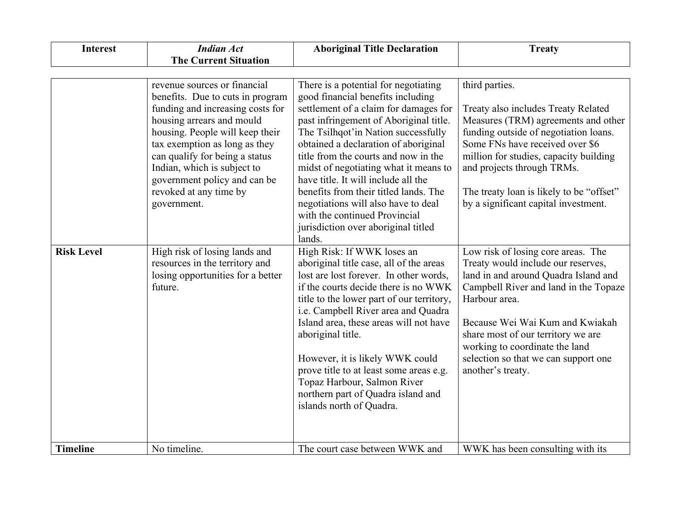| <b>Interest</b>   | <b>Indian Act</b>                                                                                                                                                                                                                                                                                                                | <b>Aboriginal Title Declaration</b>                                                                                                                                                                                                                                                                                                                                                                                     | <b>Treaty</b>                                                                                                                                                                                                                                                                                                                                      |
|-------------------|----------------------------------------------------------------------------------------------------------------------------------------------------------------------------------------------------------------------------------------------------------------------------------------------------------------------------------|-------------------------------------------------------------------------------------------------------------------------------------------------------------------------------------------------------------------------------------------------------------------------------------------------------------------------------------------------------------------------------------------------------------------------|----------------------------------------------------------------------------------------------------------------------------------------------------------------------------------------------------------------------------------------------------------------------------------------------------------------------------------------------------|
|                   | <b>The Current Situation</b>                                                                                                                                                                                                                                                                                                     |                                                                                                                                                                                                                                                                                                                                                                                                                         |                                                                                                                                                                                                                                                                                                                                                    |
|                   |                                                                                                                                                                                                                                                                                                                                  |                                                                                                                                                                                                                                                                                                                                                                                                                         |                                                                                                                                                                                                                                                                                                                                                    |
|                   | revenue sources or financial<br>benefits. Due to cuts in program<br>funding and increasing costs for<br>housing arrears and mould<br>housing. People will keep their<br>tax exemption as long as they<br>can qualify for being a status<br>Indian, which is subject to<br>government policy and can be<br>revoked at any time by | There is a potential for negotiating<br>good financial benefits including<br>settlement of a claim for damages for<br>past infringement of Aboriginal title.<br>The Tsilhqot'in Nation successfully<br>obtained a declaration of aboriginal<br>title from the courts and now in the<br>midst of negotiating what it means to<br>have title. It will include all the<br>benefits from their titled lands. The            | third parties.<br>Treaty also includes Treaty Related<br>Measures (TRM) agreements and other<br>funding outside of negotiation loans.<br>Some FNs have received over \$6<br>million for studies, capacity building<br>and projects through TRMs.<br>The treaty loan is likely to be "offset"                                                       |
| <b>Risk Level</b> | government.                                                                                                                                                                                                                                                                                                                      | negotiations will also have to deal<br>with the continued Provincial<br>jurisdiction over aboriginal titled<br>lands.                                                                                                                                                                                                                                                                                                   | by a significant capital investment.                                                                                                                                                                                                                                                                                                               |
|                   | High risk of losing lands and<br>resources in the territory and<br>losing opportunities for a better<br>future.                                                                                                                                                                                                                  | High Risk: If WWK loses an<br>aboriginal title case, all of the areas<br>lost are lost forever. In other words,<br>if the courts decide there is no WWK<br>title to the lower part of our territory,<br>i.e. Campbell River area and Quadra<br>Island area, these areas will not have<br>aboriginal title.<br>However, it is likely WWK could<br>prove title to at least some areas e.g.<br>Topaz Harbour, Salmon River | Low risk of losing core areas. The<br>Treaty would include our reserves,<br>land in and around Quadra Island and<br>Campbell River and land in the Topaze<br>Harbour area.<br>Because Wei Wai Kum and Kwiakah<br>share most of our territory we are<br>working to coordinate the land<br>selection so that we can support one<br>another's treaty. |
| <b>Timeline</b>   | No timeline.                                                                                                                                                                                                                                                                                                                     | northern part of Quadra island and<br>islands north of Quadra.<br>The court case between WWK and                                                                                                                                                                                                                                                                                                                        | WWK has been consulting with its                                                                                                                                                                                                                                                                                                                   |